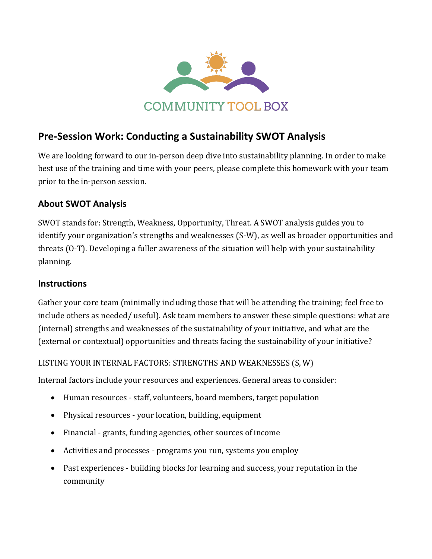

# **Pre-Session Work: Conducting a Sustainability SWOT Analysis**

We are looking forward to our in-person deep dive into sustainability planning. In order to make best use of the training and time with your peers, please complete this homework with your team prior to the in-person session.

## **About SWOT Analysis**

SWOT stands for: Strength, Weakness, Opportunity, Threat. A SWOT analysis guides you to identify your organization's strengths and weaknesses (S-W), as well as broader opportunities and threats (O-T). Developing a fuller awareness of the situation will help with your sustainability planning.

#### **Instructions**

Gather your core team (minimally including those that will be attending the training; feel free to include others as needed/ useful). Ask team members to answer these simple questions: what are (internal) strengths and weaknesses of the sustainability of your initiative, and what are the (external or contextual) opportunities and threats facing the sustainability of your initiative?

#### LISTING YOUR INTERNAL FACTORS: STRENGTHS AND WEAKNESSES (S, W)

Internal factors include your resources and experiences. General areas to consider:

- Human resources staff, volunteers, board members, target population
- Physical resources your location, building, equipment
- Financial grants, funding agencies, other sources of income
- Activities and processes programs you run, systems you employ
- Past experiences building blocks for learning and success, your reputation in the community